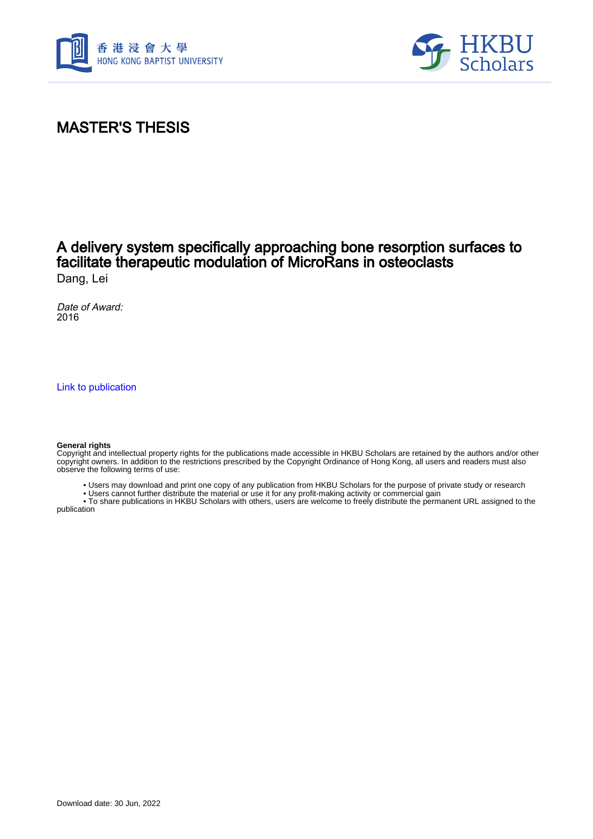



# MASTER'S THESIS

### A delivery system specifically approaching bone resorption surfaces to facilitate therapeutic modulation of MicroRans in osteoclasts Dang, Lei

Date of Award: 2016

[Link to publication](https://scholars.hkbu.edu.hk/en/studentTheses/75566d57-1525-43e8-9ebe-e9479c3f1f97)

#### **General rights**

Copyright and intellectual property rights for the publications made accessible in HKBU Scholars are retained by the authors and/or other copyright owners. In addition to the restrictions prescribed by the Copyright Ordinance of Hong Kong, all users and readers must also observe the following terms of use:

- Users may download and print one copy of any publication from HKBU Scholars for the purpose of private study or research
- Users cannot further distribute the material or use it for any profit-making activity or commercial gain

 • To share publications in HKBU Scholars with others, users are welcome to freely distribute the permanent URL assigned to the publication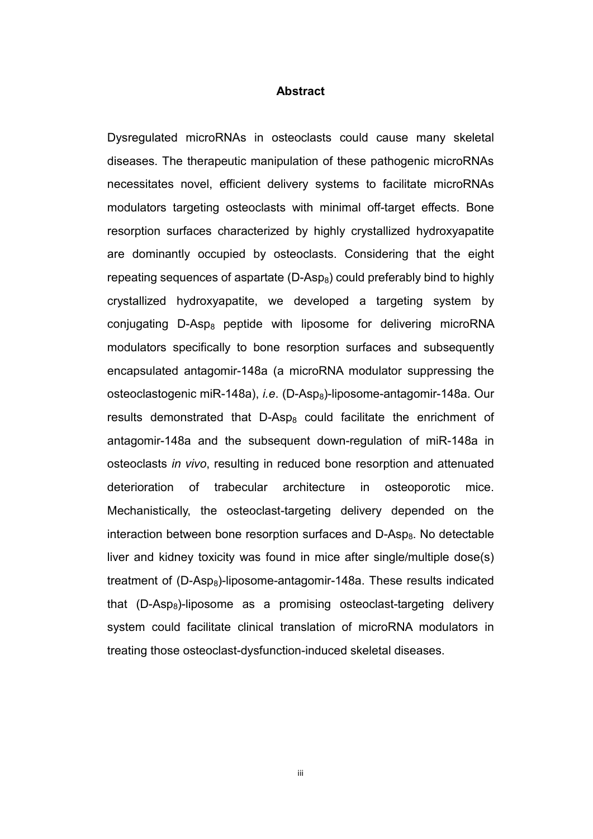### **Abstract**

Dysregulated microRNAs in osteoclasts could cause many skeletal diseases. The therapeutic manipulation of these pathogenic microRNAs necessitates novel, efficient delivery systems to facilitate microRNAs modulators targeting osteoclasts with minimal off-target effects. Bone resorption surfaces characterized by highly crystallized hydroxyapatite are dominantly occupied by osteoclasts. Considering that the eight repeating sequences of aspartate  $(D-Asp_8)$  could preferably bind to highly crystallized hydroxyapatite, we developed a targeting system by conjugating  $D$ -Asp<sub>8</sub> peptide with liposome for delivering microRNA modulators specifically to bone resorption surfaces and subsequently encapsulated antagomir-148a (a microRNA modulator suppressing the osteoclastogenic miR-148a), *i.e.* (D-Asp<sub>8</sub>)-liposome-antagomir-148a. Our results demonstrated that  $D-\text{Asp}_8$  could facilitate the enrichment of antagomir-148a and the subsequent down-regulation of miR-148a in osteoclasts *in vivo*, resulting in reduced bone resorption and attenuated deterioration of trabecular architecture in osteoporotic mice. Mechanistically, the osteoclast-targeting delivery depended on the interaction between bone resorption surfaces and  $D-Asp_8$ . No detectable liver and kidney toxicity was found in mice after single/multiple dose(s) treatment of  $(D-Asp_8)$ -liposome-antagomir-148a. These results indicated that  $(D-Asp_8)$ -liposome as a promising osteoclast-targeting delivery system could facilitate clinical translation of microRNA modulators in treating those osteoclast-dysfunction-induced skeletal diseases.

iii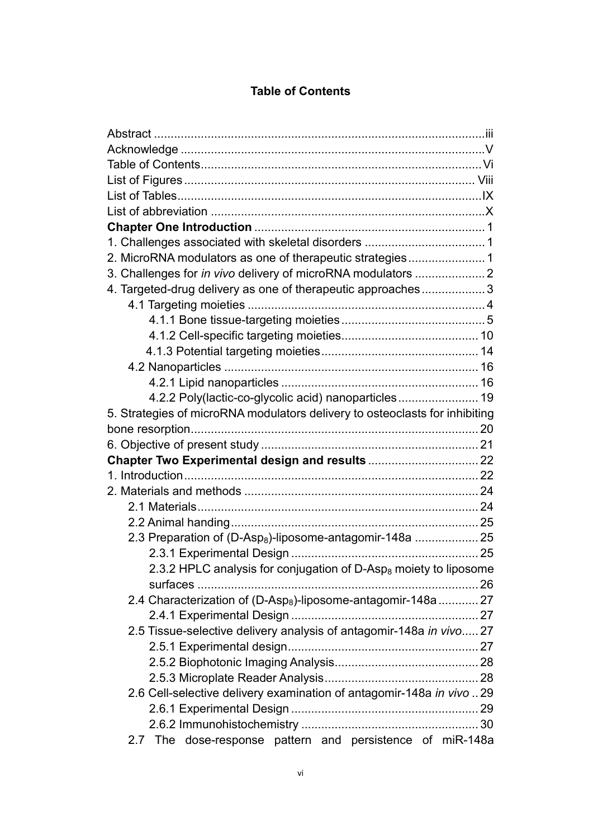## **Table of Contents**

| 2. MicroRNA modulators as one of therapeutic strategies 1<br>3. Challenges for in vivo delivery of microRNA modulators  2<br>4. Targeted-drug delivery as one of therapeutic approaches 3<br>4.2.2 Poly(lactic-co-glycolic acid) nanoparticles 19<br>5. Strategies of microRNA modulators delivery to osteoclasts for inhibiting<br>2.3 Preparation of (D-Asp <sub>8</sub> )-liposome-antagomir-148a  25 |
|----------------------------------------------------------------------------------------------------------------------------------------------------------------------------------------------------------------------------------------------------------------------------------------------------------------------------------------------------------------------------------------------------------|
|                                                                                                                                                                                                                                                                                                                                                                                                          |
|                                                                                                                                                                                                                                                                                                                                                                                                          |
|                                                                                                                                                                                                                                                                                                                                                                                                          |
|                                                                                                                                                                                                                                                                                                                                                                                                          |
|                                                                                                                                                                                                                                                                                                                                                                                                          |
|                                                                                                                                                                                                                                                                                                                                                                                                          |
|                                                                                                                                                                                                                                                                                                                                                                                                          |
|                                                                                                                                                                                                                                                                                                                                                                                                          |
|                                                                                                                                                                                                                                                                                                                                                                                                          |
|                                                                                                                                                                                                                                                                                                                                                                                                          |
|                                                                                                                                                                                                                                                                                                                                                                                                          |
|                                                                                                                                                                                                                                                                                                                                                                                                          |
|                                                                                                                                                                                                                                                                                                                                                                                                          |
|                                                                                                                                                                                                                                                                                                                                                                                                          |
|                                                                                                                                                                                                                                                                                                                                                                                                          |
|                                                                                                                                                                                                                                                                                                                                                                                                          |
|                                                                                                                                                                                                                                                                                                                                                                                                          |
|                                                                                                                                                                                                                                                                                                                                                                                                          |
|                                                                                                                                                                                                                                                                                                                                                                                                          |
|                                                                                                                                                                                                                                                                                                                                                                                                          |
|                                                                                                                                                                                                                                                                                                                                                                                                          |
|                                                                                                                                                                                                                                                                                                                                                                                                          |
|                                                                                                                                                                                                                                                                                                                                                                                                          |
|                                                                                                                                                                                                                                                                                                                                                                                                          |
|                                                                                                                                                                                                                                                                                                                                                                                                          |
|                                                                                                                                                                                                                                                                                                                                                                                                          |
|                                                                                                                                                                                                                                                                                                                                                                                                          |
| 2.3.2 HPLC analysis for conjugation of D-Asp <sub>8</sub> moiety to liposome                                                                                                                                                                                                                                                                                                                             |
| 2.4 Characterization of (D-Asp <sub>8</sub> )-liposome-antagomir-148a  27                                                                                                                                                                                                                                                                                                                                |
|                                                                                                                                                                                                                                                                                                                                                                                                          |
|                                                                                                                                                                                                                                                                                                                                                                                                          |
| 2.5 Tissue-selective delivery analysis of antagomir-148a in vivo 27                                                                                                                                                                                                                                                                                                                                      |
|                                                                                                                                                                                                                                                                                                                                                                                                          |
|                                                                                                                                                                                                                                                                                                                                                                                                          |
| 2.6 Cell-selective delivery examination of antagomir-148a in vivo  29                                                                                                                                                                                                                                                                                                                                    |
|                                                                                                                                                                                                                                                                                                                                                                                                          |
|                                                                                                                                                                                                                                                                                                                                                                                                          |
| 2.7 The dose-response pattern and persistence of miR-148a                                                                                                                                                                                                                                                                                                                                                |